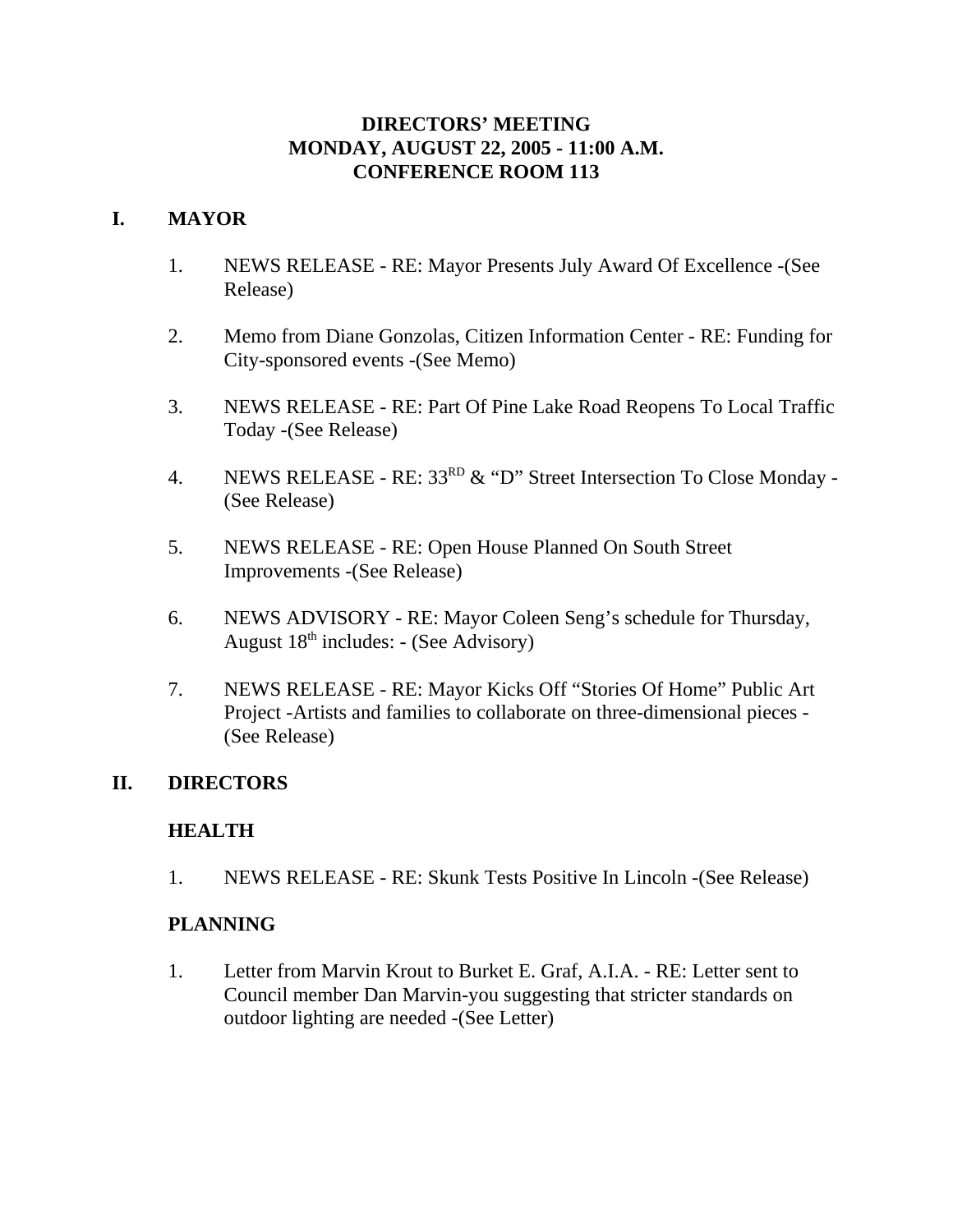## **DIRECTORS' MEETING MONDAY, AUGUST 22, 2005 - 11:00 A.M. CONFERENCE ROOM 113**

# **I. MAYOR**

- 1. NEWS RELEASE RE: Mayor Presents July Award Of Excellence -(See Release)
- 2. Memo from Diane Gonzolas, Citizen Information Center RE: Funding for City-sponsored events -(See Memo)
- 3. NEWS RELEASE RE: Part Of Pine Lake Road Reopens To Local Traffic Today -(See Release)
- 4. NEWS RELEASE RE: 33<sup>RD</sup> & "D" Street Intersection To Close Monday -(See Release)
- 5. NEWS RELEASE RE: Open House Planned On South Street Improvements -(See Release)
- 6. NEWS ADVISORY RE: Mayor Coleen Seng's schedule for Thursday, August  $18^{th}$  includes: - (See Advisory)
- 7. NEWS RELEASE RE: Mayor Kicks Off "Stories Of Home" Public Art Project -Artists and families to collaborate on three-dimensional pieces - (See Release)

## **II. DIRECTORS**

## **HEALTH**

1. NEWS RELEASE - RE: Skunk Tests Positive In Lincoln -(See Release)

## **PLANNING**

1. Letter from Marvin Krout to Burket E. Graf, A.I.A. - RE: Letter sent to Council member Dan Marvin-you suggesting that stricter standards on outdoor lighting are needed -(See Letter)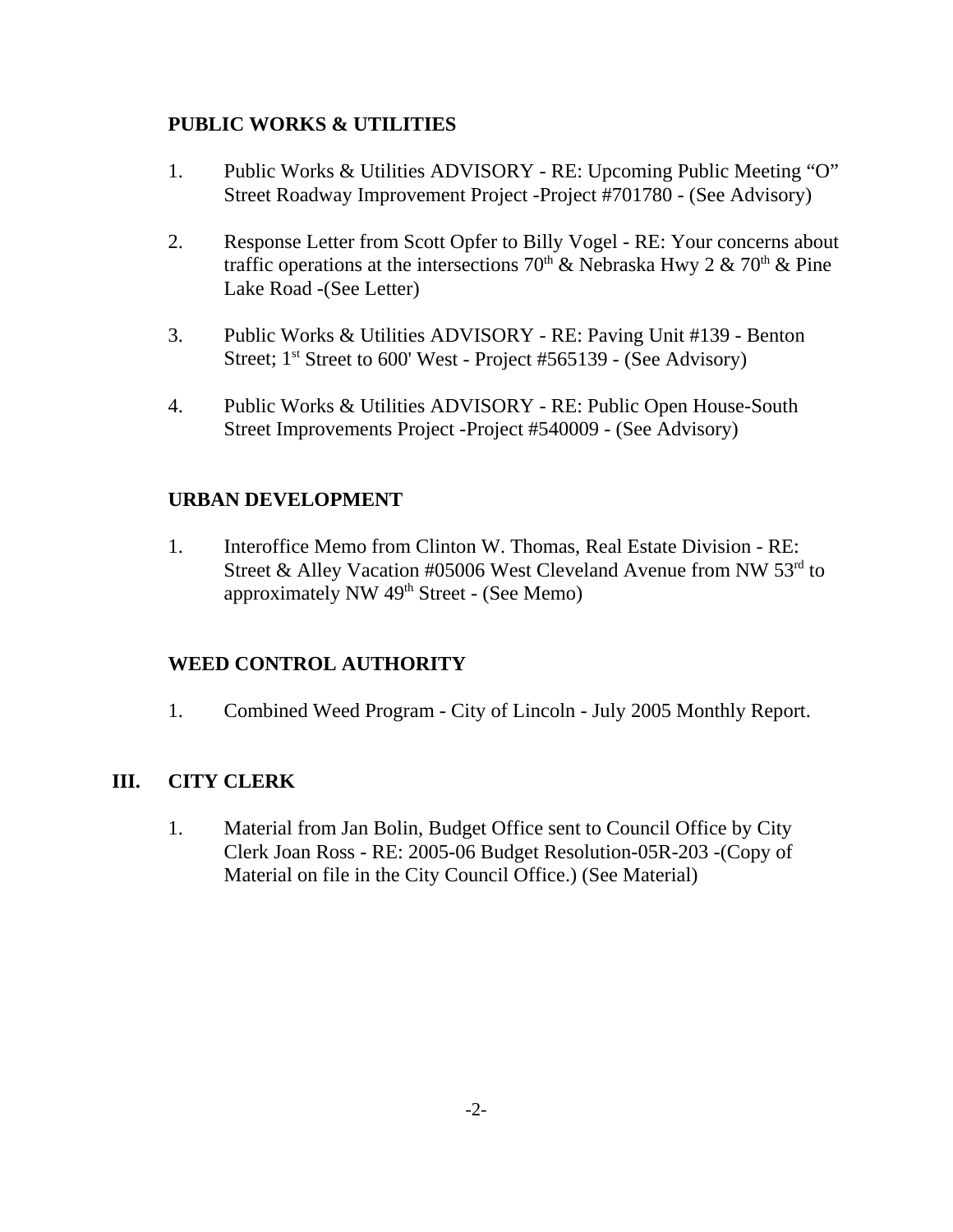# **PUBLIC WORKS & UTILITIES**

- 1. Public Works & Utilities ADVISORY RE: Upcoming Public Meeting "O" Street Roadway Improvement Project -Project #701780 - (See Advisory)
- 2. Response Letter from Scott Opfer to Billy Vogel RE: Your concerns about traffic operations at the intersections 70<sup>th</sup> & Nebraska Hwy 2 & 70<sup>th</sup> & Pine Lake Road -(See Letter)
- 3. Public Works & Utilities ADVISORY RE: Paving Unit #139 Benton Street;  $1^{st}$  Street to 600' West - Project #565139 - (See Advisory)
- 4. Public Works & Utilities ADVISORY RE: Public Open House-South Street Improvements Project -Project #540009 - (See Advisory)

# **URBAN DEVELOPMENT**

1. Interoffice Memo from Clinton W. Thomas, Real Estate Division - RE: Street & Alley Vacation #05006 West Cleveland Avenue from NW 53<sup>rd</sup> to approximately NW  $49<sup>th</sup>$  Street - (See Memo)

# **WEED CONTROL AUTHORITY**

1. Combined Weed Program - City of Lincoln - July 2005 Monthly Report.

## **III. CITY CLERK**

1. Material from Jan Bolin, Budget Office sent to Council Office by City Clerk Joan Ross - RE: 2005-06 Budget Resolution-05R-203 -(Copy of Material on file in the City Council Office.) (See Material)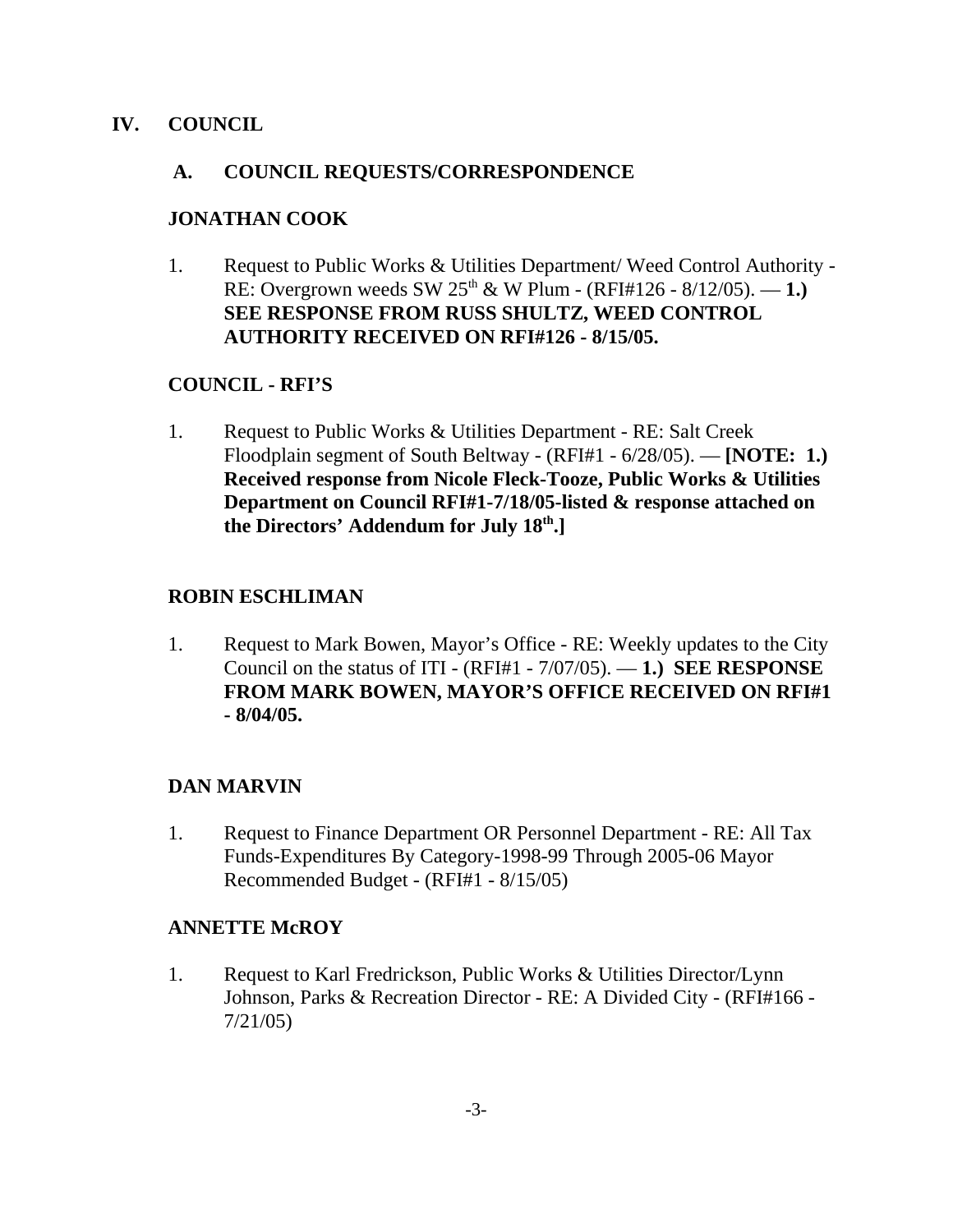## **IV. COUNCIL**

## **A. COUNCIL REQUESTS/CORRESPONDENCE**

# **JONATHAN COOK**

1. Request to Public Works & Utilities Department/ Weed Control Authority - RE: Overgrown weeds SW  $25^{\text{th}}$  & W Plum - (RFI#126 - 8/12/05). — 1.) **SEE RESPONSE FROM RUSS SHULTZ, WEED CONTROL AUTHORITY RECEIVED ON RFI#126 - 8/15/05.**

# **COUNCIL - RFI'S**

1. Request to Public Works & Utilities Department - RE: Salt Creek Floodplain segment of South Beltway - (RFI#1 - 6/28/05). — **[NOTE: 1.) Received response from Nicole Fleck-Tooze, Public Works & Utilities Department on Council RFI#1-7/18/05-listed & response attached on the Directors' Addendum for July 18th.]** 

# **ROBIN ESCHLIMAN**

1. Request to Mark Bowen, Mayor's Office - RE: Weekly updates to the City Council on the status of ITI - (RFI#1 - 7/07/05). — **1.) SEE RESPONSE FROM MARK BOWEN, MAYOR'S OFFICE RECEIVED ON RFI#1 - 8/04/05.**

# **DAN MARVIN**

1. Request to Finance Department OR Personnel Department - RE: All Tax Funds-Expenditures By Category-1998-99 Through 2005-06 Mayor Recommended Budget - (RFI#1 - 8/15/05)

## **ANNETTE McROY**

1. Request to Karl Fredrickson, Public Works & Utilities Director/Lynn Johnson, Parks & Recreation Director - RE: A Divided City - (RFI#166 - 7/21/05)